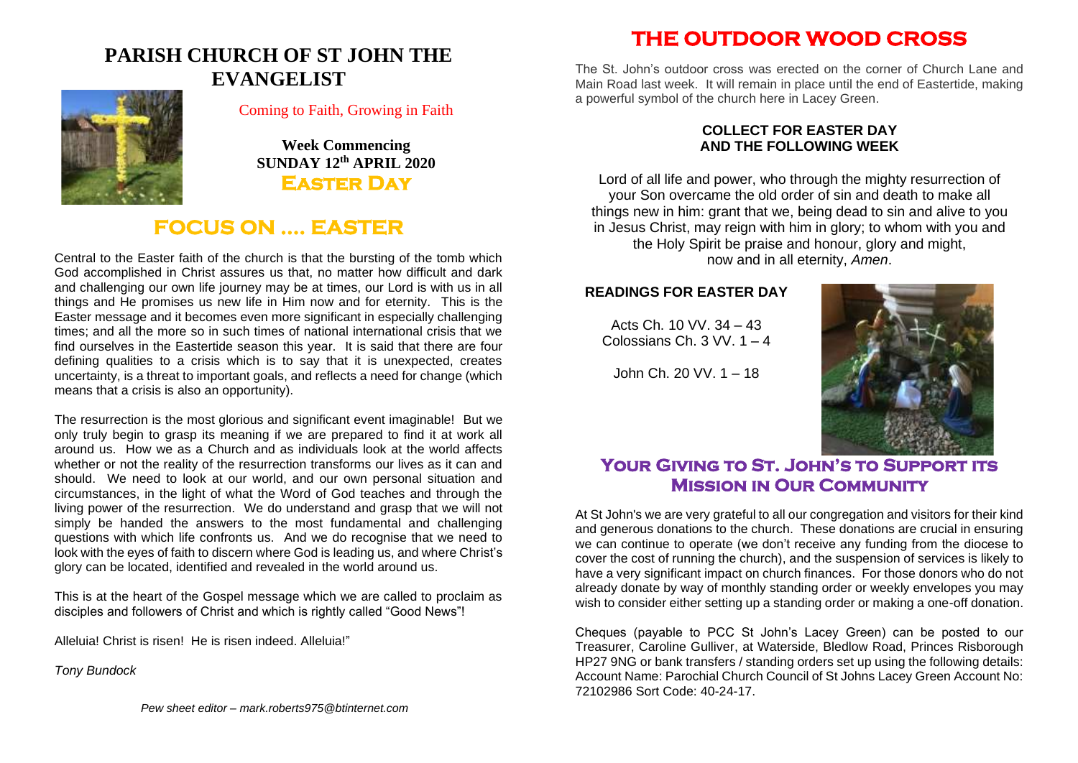# **PARISH CHURCH OF ST JOHN THE EVANGELIST**



#### Coming to Faith, Growing in Faith

**Week Commencing SUNDAY 12th APRIL 2020 Easter Day** 

## **FOCUS ON …. EASTER**

Central to the Easter faith of the church is that the bursting of the tomb which God accomplished in Christ assures us that, no matter how difficult and dark and challenging our own life journey may be at times, our Lord is with us in all things and He promises us new life in Him now and for eternity. This is the Easter message and it becomes even more significant in especially challenging times; and all the more so in such times of national international crisis that we find ourselves in the Eastertide season this year. It is said that there are four defining qualities to a crisis which is to say that it is unexpected, creates uncertainty, is a threat to important goals, and reflects a need for change (which means that a crisis is also an opportunity).

The resurrection is the most glorious and significant event imaginable! But we only truly begin to grasp its meaning if we are prepared to find it at work all around us. How we as a Church and as individuals look at the world affects whether or not the reality of the resurrection transforms our lives as it can and should. We need to look at our world, and our own personal situation and circumstances, in the light of what the Word of God teaches and through the living power of the resurrection. We do understand and grasp that we will not simply be handed the answers to the most fundamental and challenging questions with which life confronts us. And we do recognise that we need to look with the eyes of faith to discern where God is leading us, and where Christ's glory can be located, identified and revealed in the world around us.

This is at the heart of the Gospel message which we are called to proclaim as disciples and followers of Christ and which is rightly called "Good News"!

Alleluia! Christ is risen! He is risen indeed. Alleluia!"

*Tony Bundock*

*Pew sheet editor – mark.roberts975@btinternet.com*

# **THE OUTDOOR WOOD CROSS**

The St. John's outdoor cross was erected on the corner of Church Lane and Main Road last week. It will remain in place until the end of Eastertide, making a powerful symbol of the church here in Lacey Green.

#### **COLLECT FOR EASTER DAY AND THE FOLLOWING WEEK**

Lord of all life and power, who through the mighty resurrection of your Son overcame the old order of sin and death to make all things new in him: grant that we, being dead to sin and alive to you in Jesus Christ, may reign with him in glory; to whom with you and the Holy Spirit be praise and honour, glory and might, now and in all eternity, *Amen*.

#### **READINGS FOR EASTER DAY**

Acts Ch. 10 VV. 34 – 43 Colossians Ch. 3 VV. 1 – 4

John Ch. 20 VV. 1 – 18



## **Your Giving to St. John's to Support its Mission in Our Community**

At St John's we are very grateful to all our congregation and visitors for their kind and generous donations to the church. These donations are crucial in ensuring we can continue to operate (we don't receive any funding from the diocese to cover the cost of running the church), and the suspension of services is likely to have a very significant impact on church finances. For those donors who do not already donate by way of monthly standing order or weekly envelopes you may wish to consider either setting up a standing order or making a one-off donation.

Cheques (payable to PCC St John's Lacey Green) can be posted to our Treasurer, Caroline Gulliver, at Waterside, Bledlow Road, Princes Risborough HP27 9NG or bank transfers / standing orders set up using the following details: Account Name: Parochial Church Council of St Johns Lacey Green Account No: 72102986 Sort Code: 40-24-17.